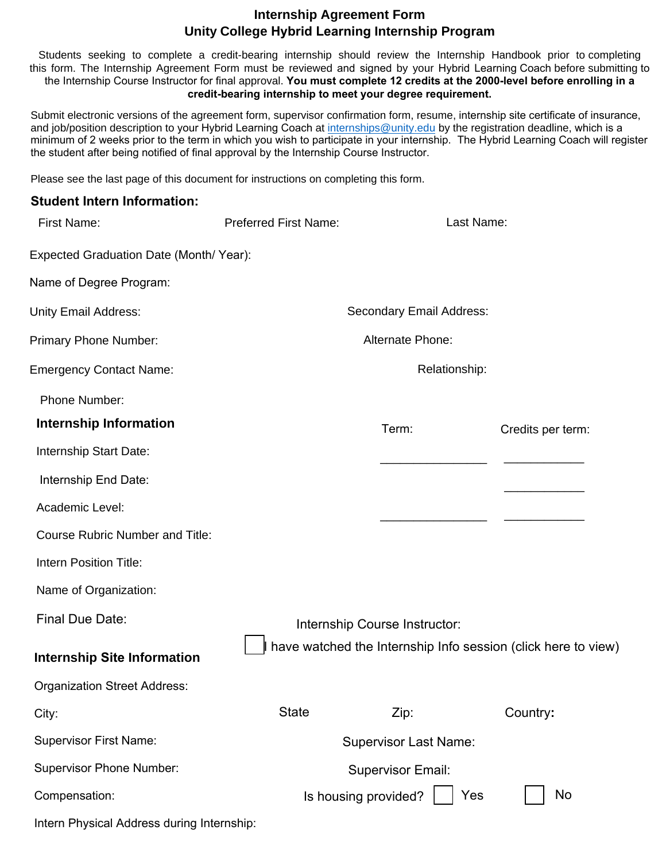## **Internship Agreement Form Unity College Hybrid Learning Internship Program**

Students seeking to complete a credit-bearing internship should review the Internship Handbook prior to completing this form. The Internship Agreement Form must be reviewed and signed by your Hybrid Learning Coach before submitting to the Internship Course Instructor for final approval. **You must complete 12 credits at the 2000-level before enrolling in a credit-bearing internship to meet your degree requirement.**

Submit electronic versions of the agreement form, supervisor confirmation form, resume, internship site certificate of insurance, and job/position description to your Hybrid Learning Coach at [internships@unity.edu](mailto:internships@unity.edu) by the registration deadline, which is a minimum of 2 weeks prior to the term in which you wish to participate in your internship. The Hybrid Learning Coach will register the student after being notified of final approval by the Internship Course Instructor.

Please see the last page of this document for instructions on completing this form.

### **Student Intern Information:**

| First Name:                                | <b>Preferred First Name:</b>  | Last Name:                                                    |                   |
|--------------------------------------------|-------------------------------|---------------------------------------------------------------|-------------------|
| Expected Graduation Date (Month/ Year):    |                               |                                                               |                   |
| Name of Degree Program:                    |                               |                                                               |                   |
| <b>Unity Email Address:</b>                | Secondary Email Address:      |                                                               |                   |
| Primary Phone Number:                      | Alternate Phone:              |                                                               |                   |
| <b>Emergency Contact Name:</b>             | Relationship:                 |                                                               |                   |
| Phone Number:                              |                               |                                                               |                   |
| <b>Internship Information</b>              |                               | Term:                                                         | Credits per term: |
| Internship Start Date:                     |                               |                                                               |                   |
| Internship End Date:                       |                               |                                                               |                   |
| Academic Level:                            |                               |                                                               |                   |
| <b>Course Rubric Number and Title:</b>     |                               |                                                               |                   |
| Intern Position Title:                     |                               |                                                               |                   |
| Name of Organization:                      |                               |                                                               |                   |
| <b>Final Due Date:</b>                     | Internship Course Instructor: |                                                               |                   |
| <b>Internship Site Information</b>         |                               | have watched the Internship Info session (click here to view) |                   |
| <b>Organization Street Address:</b>        |                               |                                                               |                   |
| City:                                      | <b>State</b>                  | Zip:                                                          | Country:          |
| <b>Supervisor First Name:</b>              | <b>Supervisor Last Name:</b>  |                                                               |                   |
| <b>Supervisor Phone Number:</b>            | <b>Supervisor Email:</b>      |                                                               |                   |
| Compensation:                              |                               | Is housing provided?<br>Yes                                   | No                |
| Intern Physical Address during Internship: |                               |                                                               |                   |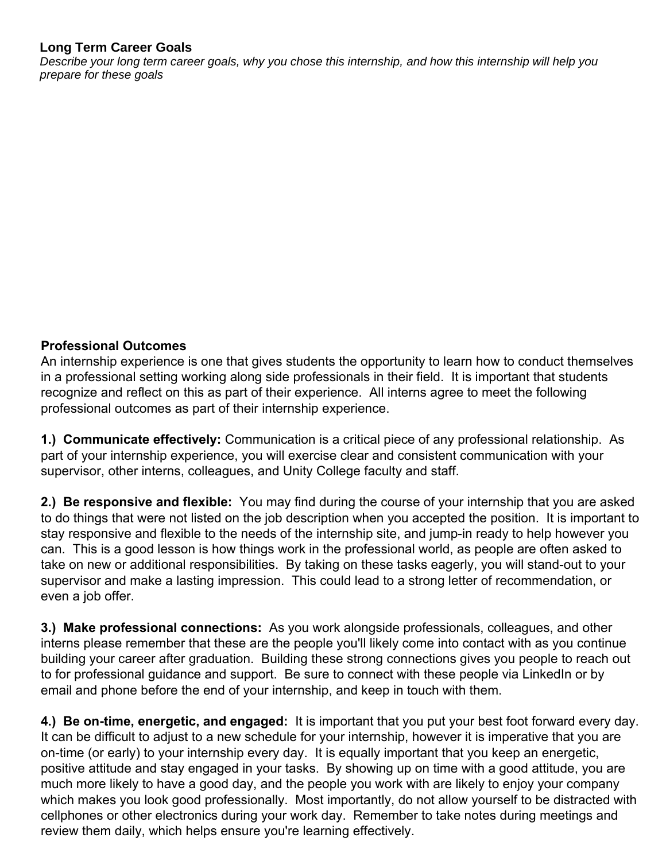## **Long Term Career Goals**

*Describe your long term career goals, why you chose this internship, and how this internship will help you prepare for these goals*

### **Professional Outcomes**

An internship experience is one that gives students the opportunity to learn how to conduct themselves in a professional setting working along side professionals in their field. It is important that students recognize and reflect on this as part of their experience. All interns agree to meet the following professional outcomes as part of their internship experience.

**1.) Communicate effectively:** Communication is a critical piece of any professional relationship. As part of your internship experience, you will exercise clear and consistent communication with your supervisor, other interns, colleagues, and Unity College faculty and staff.

**2.) Be responsive and flexible:** You may find during the course of your internship that you are asked to do things that were not listed on the job description when you accepted the position. It is important to stay responsive and flexible to the needs of the internship site, and jump-in ready to help however you can. This is a good lesson is how things work in the professional world, as people are often asked to take on new or additional responsibilities. By taking on these tasks eagerly, you will stand-out to your supervisor and make a lasting impression. This could lead to a strong letter of recommendation, or even a job offer.

**3.) Make professional connections:** As you work alongside professionals, colleagues, and other interns please remember that these are the people you'll likely come into contact with as you continue building your career after graduation. Building these strong connections gives you people to reach out to for professional guidance and support. Be sure to connect with these people via LinkedIn or by email and phone before the end of your internship, and keep in touch with them.

**4.) Be on-time, energetic, and engaged:** It is important that you put your best foot forward every day. It can be difficult to adjust to a new schedule for your internship, however it is imperative that you are on-time (or early) to your internship every day. It is equally important that you keep an energetic, positive attitude and stay engaged in your tasks. By showing up on time with a good attitude, you are much more likely to have a good day, and the people you work with are likely to enjoy your company which makes you look good professionally. Most importantly, do not allow yourself to be distracted with cellphones or other electronics during your work day. Remember to take notes during meetings and review them daily, which helps ensure you're learning effectively.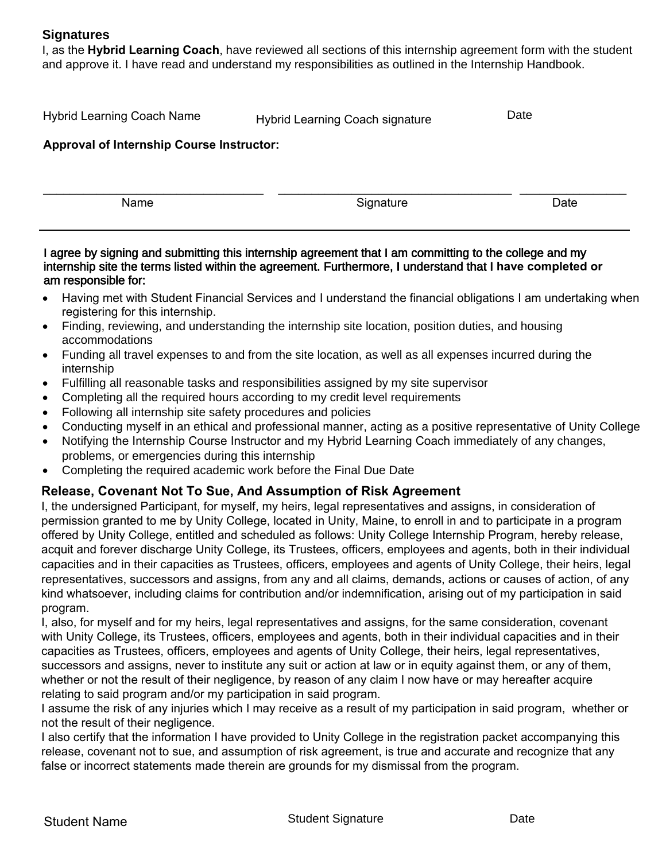I, as the **Hybrid Learning Coach**, have reviewed all sections of this internship agreement form with the student and approve it. I have read and understand my responsibilities as outlined in the Internship Handbook.

| <b>Hybrid Learning Coach Name</b>                | Hybrid Learning Coach signature | Date |  |  |  |
|--------------------------------------------------|---------------------------------|------|--|--|--|
| <b>Approval of Internship Course Instructor:</b> |                                 |      |  |  |  |
|                                                  |                                 |      |  |  |  |
| Name                                             | Signature                       | Date |  |  |  |

### I agree by signing and submitting this internship agreement that I am committing to the college and my internship site the terms listed within the agreement. Furthermore, I understand that I **have completed or**  am responsible for:

- Having met with Student Financial Services and I understand the financial obligations I am undertaking when registering for this internship.
- Finding, reviewing, and understanding the internship site location, position duties, and housing accommodations
- Funding all travel expenses to and from the site location, as well as all expenses incurred during the internship
- Fulfilling all reasonable tasks and responsibilities assigned by my site supervisor
- Completing all the required hours according to my credit level requirements
- Following all internship site safety procedures and policies
- Conducting myself in an ethical and professional manner, acting as a positive representative of Unity College
- Notifying the Internship Course Instructor and my Hybrid Learning Coach immediately of any changes, problems, or emergencies during this internship
- Completing the required academic work before the Final Due Date

# **Release, Covenant Not To Sue, And Assumption of Risk Agreement**

I, the undersigned Participant, for myself, my heirs, legal representatives and assigns, in consideration of permission granted to me by Unity College, located in Unity, Maine, to enroll in and to participate in a program offered by Unity College, entitled and scheduled as follows: Unity College Internship Program, hereby release, acquit and forever discharge Unity College, its Trustees, officers, employees and agents, both in their individual capacities and in their capacities as Trustees, officers, employees and agents of Unity College, their heirs, legal representatives, successors and assigns, from any and all claims, demands, actions or causes of action, of any kind whatsoever, including claims for contribution and/or indemnification, arising out of my participation in said program.

I, also, for myself and for my heirs, legal representatives and assigns, for the same consideration, covenant with Unity College, its Trustees, officers, employees and agents, both in their individual capacities and in their capacities as Trustees, officers, employees and agents of Unity College, their heirs, legal representatives, successors and assigns, never to institute any suit or action at law or in equity against them, or any of them, whether or not the result of their negligence, by reason of any claim I now have or may hereafter acquire relating to said program and/or my participation in said program.

I assume the risk of any injuries which I may receive as a result of my participation in said program, whether or not the result of their negligence.

I also certify that the information I have provided to Unity College in the registration packet accompanying this release, covenant not to sue, and assumption of risk agreement, is true and accurate and recognize that any false or incorrect statements made therein are grounds for my dismissal from the program.